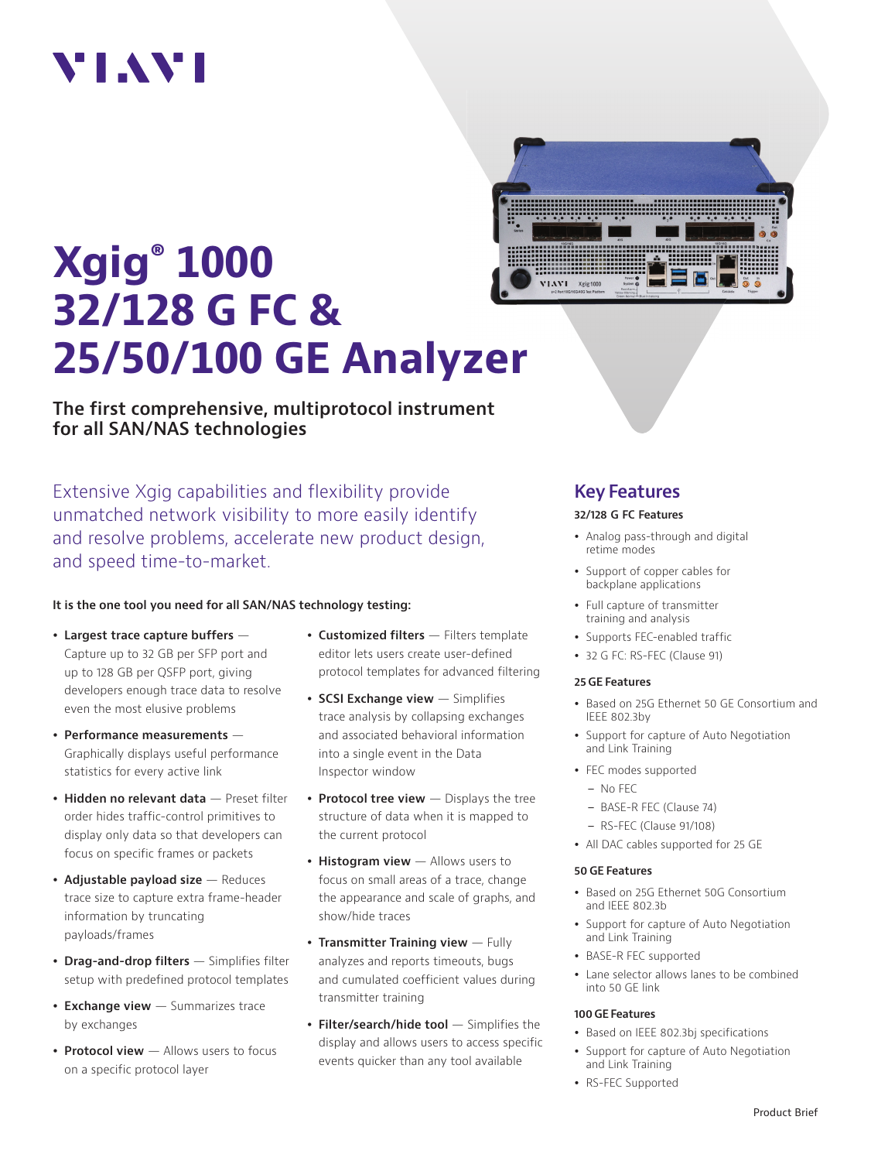# VI.WI

# **Xgig® 1000 32/128 G FC & 25/50/100 GE Analyzer**



**The first comprehensive, multiprotocol instrument for all SAN/NAS technologies**

Extensive Xgig capabilities and flexibility provide unmatched network visibility to more easily identify and resolve problems, accelerate new product design, and speed time-to-market.

#### **It is the one tool you need for all SAN/NAS technology testing:**

- **Largest trace capture buffers** Capture up to 32 GB per SFP port and up to 128 GB per QSFP port, giving developers enough trace data to resolve even the most elusive problems
- **Performance measurements** Graphically displays useful performance statistics for every active link
- **Hidden no relevant data** Preset filter order hides traffic-control primitives to display only data so that developers can focus on specific frames or packets
- **Adjustable payload size** Reduces trace size to capture extra frame-header information by truncating payloads/frames
- **Drag-and-drop filters** Simplifies filter setup with predefined protocol templates
- **Exchange view** Summarizes trace by exchanges
- **Protocol view** Allows users to focus on a specific protocol layer
- **Customized filters** Filters template editor lets users create user-defined protocol templates for advanced filtering
- **SCSI Exchange view** Simplifies trace analysis by collapsing exchanges and associated behavioral information into a single event in the Data Inspector window
- **Protocol tree view** Displays the tree structure of data when it is mapped to the current protocol
- **Histogram view** Allows users to focus on small areas of a trace, change the appearance and scale of graphs, and show/hide traces
- **Transmitter Training view**  Fully analyzes and reports timeouts, bugs and cumulated coefficient values during transmitter training
- **Filter/search/hide tool** Simplifies the display and allows users to access specific events quicker than any tool available

### **Key Features**

#### **32/128 G FC Features**

- Analog pass-through and digital retime modes
- Support of copper cables for backplane applications
- Full capture of transmitter training and analysis
- Supports FEC-enabled traffic
- 32 G FC: RS-FEC (Clause 91)

#### **25 GE Features**

- Based on 25G Ethernet 50 GE Consortium and IEEE 802.3by
- Support for capture of Auto Negotiation and Link Training
- FEC modes supported
- No FEC
- BASE-R FEC (Clause 74)
- RS-FEC (Clause 91/108)
- All DAC cables supported for 25 GE

#### **50 GE Features**

- Based on 25G Ethernet 50G Consortium and IEEE 802.3b
- Support for capture of Auto Negotiation and Link Training
- BASE-R FEC supported
- Lane selector allows lanes to be combined into 50 GE link

#### **100 GE Features**

- Based on IEEE 802.3bj specifications
- Support for capture of Auto Negotiation and Link Training
- RS-FEC Supported